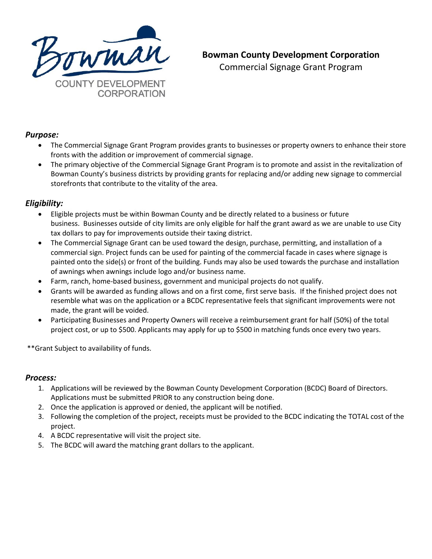

# **Bowman County Development Corporation**

Commercial Signage Grant Program

### *Purpose:*

- The Commercial Signage Grant Program provides grants to businesses or property owners to enhance their store fronts with the addition or improvement of commercial signage.
- The primary objective of the Commercial Signage Grant Program is to promote and assist in the revitalization of Bowman County's business districts by providing grants for replacing and/or adding new signage to commercial storefronts that contribute to the vitality of the area.

## *Eligibility:*

- Eligible projects must be within Bowman County and be directly related to a business or future business. Businesses outside of city limits are only eligible for half the grant award as we are unable to use City tax dollars to pay for improvements outside their taxing district.
- The Commercial Signage Grant can be used toward the design, purchase, permitting, and installation of a commercial sign. Project funds can be used for painting of the commercial facade in cases where signage is painted onto the side(s) or front of the building. Funds may also be used towards the purchase and installation of awnings when awnings include logo and/or business name.
- Farm, ranch, home-based business, government and municipal projects do not qualify.
- Grants will be awarded as funding allows and on a first come, first serve basis. If the finished project does not resemble what was on the application or a BCDC representative feels that significant improvements were not made, the grant will be voided.
- Participating Businesses and Property Owners will receive a reimbursement grant for half (50%) of the total project cost, or up to \$500. Applicants may apply for up to \$500 in matching funds once every two years.

\*\*Grant Subject to availability of funds.

### *Process:*

- 1. Applications will be reviewed by the Bowman County Development Corporation (BCDC) Board of Directors. Applications must be submitted PRIOR to any construction being done.
- 2. Once the application is approved or denied, the applicant will be notified.
- 3. Following the completion of the project, receipts must be provided to the BCDC indicating the TOTAL cost of the project.
- 4. A BCDC representative will visit the project site.
- 5. The BCDC will award the matching grant dollars to the applicant.